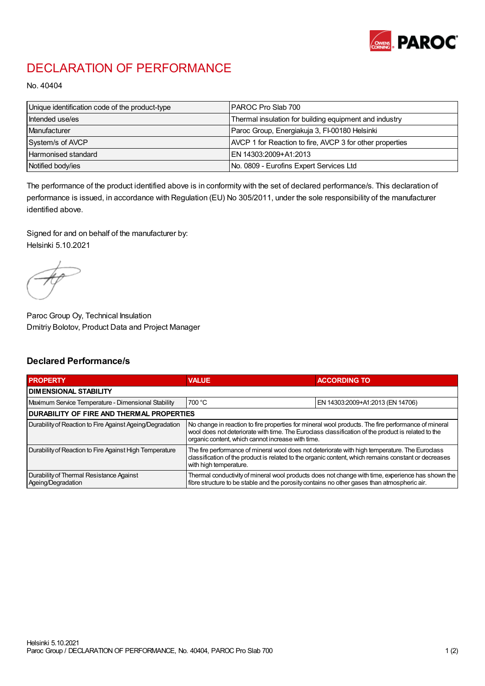

## DECLARATION OF PERFORMANCE

No. 40404

| Unique identification code of the product-type | IPAROC Pro Slab 700                                      |
|------------------------------------------------|----------------------------------------------------------|
| Intended use/es                                | Thermal insulation for building equipment and industry   |
| Manufacturer                                   | Paroc Group, Energiakuja 3, FI-00180 Helsinki            |
| System/s of AVCP                               | AVCP 1 for Reaction to fire, AVCP 3 for other properties |
| Harmonised standard                            | IEN 14303:2009+A1:2013                                   |
| Notified body/ies                              | No. 0809 - Eurofins Expert Services Ltd                  |

The performance of the product identified above is in conformity with the set of declared performance/s. This declaration of performance is issued, in accordance with Regulation (EU) No 305/2011, under the sole responsibility of the manufacturer identified above.

Signed for and on behalf of the manufacturer by: Helsinki 5.10.2021

Paroc Group Oy, Technical Insulation Dmitriy Bolotov, Product Data and Project Manager

## Declared Performance/s

| <b>PROPERTY</b>                                                | <b>VALUE</b>                                                                                                                                                                                                                                                   | <b>ACCORDING TO.</b>             |  |  |
|----------------------------------------------------------------|----------------------------------------------------------------------------------------------------------------------------------------------------------------------------------------------------------------------------------------------------------------|----------------------------------|--|--|
| <b>DIMENSIONAL STABILITY</b>                                   |                                                                                                                                                                                                                                                                |                                  |  |  |
| Maximum Service Temperature - Dimensional Stability            | 700 °C                                                                                                                                                                                                                                                         | EN 14303:2009+A1:2013 (EN 14706) |  |  |
| <b>DURABILITY OF FIRE AND THERMAL PROPERTIES</b>               |                                                                                                                                                                                                                                                                |                                  |  |  |
| Durability of Reaction to Fire Against Ageing/Degradation      | No change in reaction to fire properties for mineral wool products. The fire performance of mineral<br>wool does not deteriorate with time. The Euroclass classification of the product is related to the<br>organic content, which cannot increase with time. |                                  |  |  |
| Durability of Reaction to Fire Against High Temperature        | The fire performance of mineral wool does not deteriorate with high temperature. The Euroclass<br>classification of the product is related to the organic content, which remains constant or decreases<br>with high temperature.                               |                                  |  |  |
| Durability of Thermal Resistance Against<br>Ageing/Degradation | Thermal conductivity of mineral wool products does not change with time, experience has shown the<br>fibre structure to be stable and the porosity contains no other gases than atmospheric air.                                                               |                                  |  |  |